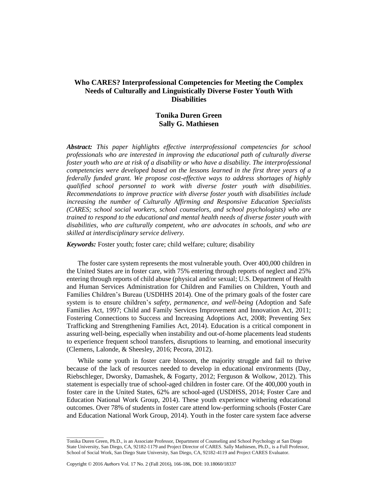## **Who CARES? Interprofessional Competencies for Meeting the Complex Needs of Culturally and Linguistically Diverse Foster Youth With Disabilities**

# **Tonika Duren Green Sally G. Mathiesen**

*Abstract: This paper highlights effective interprofessional competencies for school professionals who are interested in improving the educational path of culturally diverse foster youth who are at risk of a disability or who have a disability. The interprofessional competencies were developed based on the lessons learned in the first three years of a federally funded grant. We propose cost-effective ways to address shortages of highly qualified school personnel to work with diverse foster youth with disabilities. Recommendations to improve practice with diverse foster youth with disabilities include increasing the number of Culturally Affirming and Responsive Education Specialists (CARES; school social workers, school counselors, and school psychologists) who are trained to respond to the educational and mental health needs of diverse foster youth with disabilities, who are culturally competent, who are advocates in schools, and who are skilled at interdisciplinary service delivery.* 

*Keywords:* Foster youth; foster care; child welfare; culture; disability

The foster care system represents the most vulnerable youth. Over 400,000 children in the United States are in foster care, with 75% entering through reports of neglect and 25% entering through reports of child abuse (physical and/or sexual; U.S. Department of Health and Human Services Administration for Children and Families on Children, Youth and Families Children's Bureau (USDHHS 2014). One of the primary goals of the foster care system is to ensure children's *safety, permanence, and well-being* (Adoption and Safe Families Act, 1997; Child and Family Services Improvement and Innovation Act, 2011; Fostering Connections to Success and Increasing Adoptions Act, 2008; Preventing Sex Trafficking and Strengthening Families Act, 2014). Education is a critical component in assuring well-being, especially when instability and out-of-home placements lead students to experience frequent school transfers, disruptions to learning, and emotional insecurity (Clemens, Lalonde, & Sheesley, 2016; Pecora, 2012).

While some youth in foster care blossom, the majority struggle and fail to thrive because of the lack of resources needed to develop in educational environments (Day, Riebschleger, Dworsky, Damashek, & Fogarty, 2012; Ferguson & Wolkow, 2012). This statement is especially true of school-aged children in foster care. Of the 400,000 youth in foster care in the United States, 62% are school-aged (USDHSS, 2014; Foster Care and Education National Work Group, 2014). These youth experience withering educational outcomes. Over 78% of students in foster care attend low-performing schools (Foster Care and Education National Work Group, 2014). Youth in the foster care system face adverse

\_\_\_\_\_\_\_\_\_\_\_\_\_\_\_

Tonika Duren Green, Ph.D., is an Associate Professor, Department of Counseling and School Psychology at San Diego State University, San Diego, CA, 92182-1179 and Project Director of CARES. Sally Mathiesen, Ph.D., is a Full Professor, School of Social Work, San Diego State University, San Diego, CA, 92182-4119 and Project CARES Evaluator.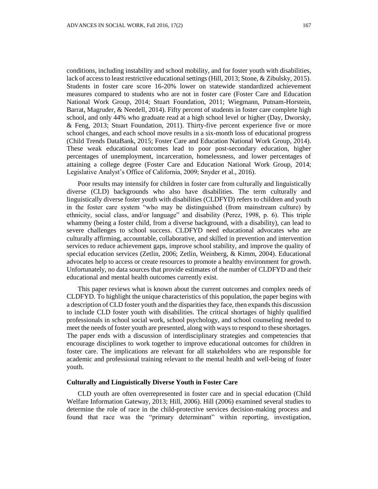conditions, including instability and school mobility, and for foster youth with disabilities, lack of access to least restrictive educational settings (Hill, 2013; Stone, & Zibulsky, 2015). Students in foster care score 16-20% lower on statewide standardized achievement measures compared to students who are not in foster care (Foster Care and Education National Work Group, 2014; Stuart Foundation, 2011; Wiegmann, Putnam-Horstein, Barrat, Magruder, & Needell, 2014). Fifty percent of students in foster care complete high school, and only 44% who graduate read at a high school level or higher (Day, Dworsky, & Feng, 2013; Stuart Foundation, 2011). Thirty-five percent experience five or more school changes, and each school move results in a six-month loss of educational progress (Child Trends DataBank, 2015; Foster Care and Education National Work Group, 2014). These weak educational outcomes lead to poor post-secondary education, higher percentages of unemployment, incarceration, homelessness, and lower percentages of attaining a college degree (Foster Care and Education National Work Group, 2014; Legislative Analyst's Office of California, 2009; Snyder et al., 2016).

Poor results may intensify for children in foster care from culturally and linguistically diverse (CLD) backgrounds who also have disabilities. The term culturally and linguistically diverse foster youth with disabilities (CLDFYD) refers to children and youth in the foster care system "who may be distinguished (from mainstream culture) by ethnicity, social class, and/or language" and disability (Perez, 1998, p. 6). This triple whammy (being a foster child, from a diverse background, with a disability), can lead to severe challenges to school success. CLDFYD need educational advocates who are culturally affirming, accountable, collaborative, and skilled in prevention and intervention services to reduce achievement gaps, improve school stability, and improve the quality of special education services (Zetlin, 2006; Zetlin, Weinberg, & Kimm, 2004). Educational advocates help to access or create resources to promote a healthy environment for growth. Unfortunately, no data sources that provide estimates of the number of CLDFYD and their educational and mental health outcomes currently exist.

This paper reviews what is known about the current outcomes and complex needs of CLDFYD. To highlight the unique characteristics of this population, the paper begins with a description of CLD foster youth and the disparities they face, then expands this discussion to include CLD foster youth with disabilities. The critical shortages of highly qualified professionals in school social work, school psychology, and school counseling needed to meet the needs of foster youth are presented, along with ways to respond to these shortages. The paper ends with a discussion of interdisciplinary strategies and competencies that encourage disciplines to work together to improve educational outcomes for children in foster care. The implications are relevant for all stakeholders who are responsible for academic and professional training relevant to the mental health and well-being of foster youth.

#### **Culturally and Linguistically Diverse Youth in Foster Care**

CLD youth are often overrepresented in foster care and in special education (Child Welfare Information Gateway, 2013; Hill, 2006). Hill (2006) examined several studies to determine the role of race in the child-protective services decision-making process and found that race was the "primary determinant" within reporting, investigation,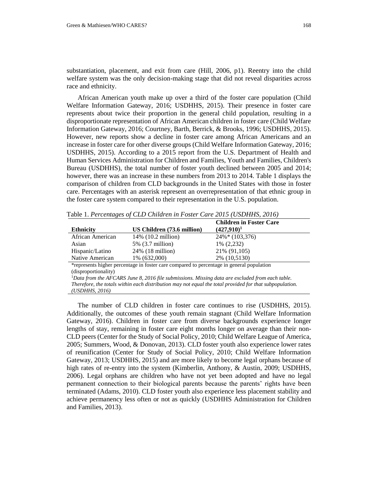substantiation, placement, and exit from care (Hill, 2006, p1). Reentry into the child welfare system was the only decision-making stage that did not reveal disparities across race and ethnicity.

African American youth make up over a third of the foster care population (Child Welfare Information Gateway, 2016; USDHHS, 2015). Their presence in foster care represents about twice their proportion in the general child population, resulting in a disproportionate representation of African American children in foster care (Child Welfare Information Gateway, 2016; Courtney, Barth, Berrick, & Brooks, 1996; USDHHS, 2015). However, new reports show a decline in foster care among African Americans and an increase in foster care for other diverse groups (Child Welfare Information Gateway, 2016; USDHHS, 2015). According to a 2015 report from the U.S. Department of Health and Human Services Administration for Children and Families, Youth and Families, Children's Bureau (USDHHS), the total number of foster youth declined between 2005 and 2014; however, there was an increase in these numbers from 2013 to 2014. Table 1 displays the comparison of children from CLD backgrounds in the United States with those in foster care. Percentages with an asterisk represent an overrepresentation of that ethnic group in the foster care system compared to their representation in the U.S. population.

|                  |                                                                                           | <b>Children in Foster Care</b> |  |
|------------------|-------------------------------------------------------------------------------------------|--------------------------------|--|
| <b>Ethnicity</b> | US Children (73.6 million)                                                                | $(427,910)^1$                  |  |
| African American | 14\% (10.2 million)                                                                       | $24\%*(103,376)$               |  |
| Asian            | 5% (3.7 million)                                                                          | 1% (2,232)                     |  |
| Hispanic/Latino  | 24% (18 million)                                                                          | 21\% (91,105)                  |  |
| Native American  | 1% (632,000)                                                                              | 2% (10,5130)                   |  |
|                  | *represents higher percentage in foster care compared to percentage in general population |                                |  |

Table 1. *Percentages of CLD Children in Foster Care 2015 (USDHHS, 2016)*

(disproportionality)

<sup>1</sup>*Data from the AFCARS June 8, 2016 file submissions. Missing data are excluded from each table. Therefore, the totals within each distribution may not equal the total provided for that subpopulation. (USDHHS, 2016)*

The number of CLD children in foster care continues to rise (USDHHS, 2015). Additionally, the outcomes of these youth remain stagnant (Child Welfare Information Gateway, 2016). Children in foster care from diverse backgrounds experience longer lengths of stay, remaining in foster care eight months longer on average than their non-CLD peers (Center for the Study of Social Policy, 2010; Child Welfare League of America, 2005; Summers, Wood, & Donovan, 2013). CLD foster youth also experience lower rates of reunification (Center for Study of Social Policy, 2010; Child Welfare Information Gateway, 2013; USDHHS, 2015) and are more likely to become legal orphans because of high rates of re-entry into the system (Kimberlin, Anthony, & Austin, 2009; USDHHS, 2006). Legal orphans are children who have not yet been adopted and have no legal permanent connection to their biological parents because the parents' rights have been terminated (Adams, 2010). CLD foster youth also experience less placement stability and achieve permanency less often or not as quickly (USDHHS Administration for Children and Families, 2013).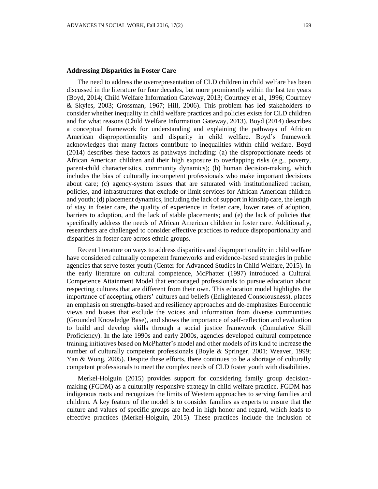#### **Addressing Disparities in Foster Care**

The need to address the overrepresentation of CLD children in child welfare has been discussed in the literature for four decades, but more prominently within the last ten years (Boyd, 2014; Child Welfare Information Gateway, 2013; Courtney et al., 1996; Courtney & Skyles, 2003; Grossman, 1967; Hill, 2006). This problem has led stakeholders to consider whether inequality in child welfare practices and policies exists for CLD children and for what reasons (Child Welfare Information Gateway, 2013). Boyd (2014) describes a conceptual framework for understanding and explaining the pathways of African American disproportionality and disparity in child welfare. Boyd's framework acknowledges that many factors contribute to inequalities within child welfare. Boyd (2014) describes these factors as pathways including: (a) the disproportionate needs of African American children and their high exposure to overlapping risks (e.g., poverty, parent-child characteristics, community dynamics); (b) human decision-making, which includes the bias of culturally incompetent professionals who make important decisions about care; (c) agency-system issues that are saturated with institutionalized racism, policies, and infrastructures that exclude or limit services for African American children and youth; (d) placement dynamics, including the lack of support in kinship care, the length of stay in foster care, the quality of experience in foster care, lower rates of adoption, barriers to adoption, and the lack of stable placements; and (e) the lack of policies that specifically address the needs of African American children in foster care. Additionally, researchers are challenged to consider effective practices to reduce disproportionality and disparities in foster care across ethnic groups.

Recent literature on ways to address disparities and disproportionality in child welfare have considered culturally competent frameworks and evidence-based strategies in public agencies that serve foster youth (Center for Advanced Studies in Child Welfare, 2015). In the early literature on cultural competence, McPhatter (1997) introduced a Cultural Competence Attainment Model that encouraged professionals to pursue education about respecting cultures that are different from their own. This education model highlights the importance of accepting others' cultures and beliefs (Enlightened Consciousness), places an emphasis on strengths-based and resiliency approaches and de-emphasizes Eurocentric views and biases that exclude the voices and information from diverse communities (Grounded Knowledge Base), and shows the importance of self-reflection and evaluation to build and develop skills through a social justice framework (Cumulative Skill Proficiency). In the late 1990s and early 2000s, agencies developed cultural competence training initiatives based on McPhatter's model and other models of its kind to increase the number of culturally competent professionals (Boyle & Springer, 2001; Weaver, 1999; Yan & Wong, 2005). Despite these efforts, there continues to be a shortage of culturally competent professionals to meet the complex needs of CLD foster youth with disabilities.

Merkel-Holguin (2015) provides support for considering family group decisionmaking (FGDM) as a culturally responsive strategy in child welfare practice. FGDM has indigenous roots and recognizes the limits of Western approaches to serving families and children. A key feature of the model is to consider families as experts to ensure that the culture and values of specific groups are held in high honor and regard, which leads to effective practices (Merkel-Holguin, 2015). These practices include the inclusion of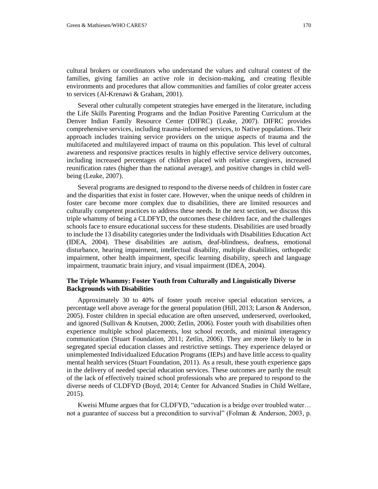cultural brokers or coordinators who understand the values and cultural context of the families, giving families an active role in decision-making, and creating flexible environments and procedures that allow communities and families of color greater access to services (Al-Krenawi & Graham, 2001).

Several other culturally competent strategies have emerged in the literature, including the Life Skills Parenting Programs and the Indian Positive Parenting Curriculum at the Denver Indian Family Resource Center (DIFRC) (Leake, 2007). DIFRC provides comprehensive services, including trauma-informed services, to Native populations. Their approach includes training service providers on the unique aspects of trauma and the multifaceted and multilayered impact of trauma on this population. This level of cultural awareness and responsive practices results in highly effective service delivery outcomes, including increased percentages of children placed with relative caregivers, increased reunification rates (higher than the national average), and positive changes in child wellbeing (Leake, 2007).

Several programs are designed to respond to the diverse needs of children in foster care and the disparities that exist in foster care. However, when the unique needs of children in foster care become more complex due to disabilities, there are limited resources and culturally competent practices to address these needs. In the next section, we discuss this triple whammy of being a CLDFYD, the outcomes these children face, and the challenges schools face to ensure educational success for these students. Disabilities are used broadly to include the 13 disability categories under the Individuals with Disabilities Education Act (IDEA, 2004). These disabilities are autism, deaf-blindness, deafness, emotional disturbance, hearing impairment, intellectual disability, multiple disabilities, orthopedic impairment, other health impairment, specific learning disability, speech and language impairment, traumatic brain injury, and visual impairment (IDEA, 2004).

## **The Triple Whammy: Foster Youth from Culturally and Linguistically Diverse Backgrounds with Disabilities**

Approximately 30 to 40% of foster youth receive special education services, a percentage well above average for the general population (Hill, 2013; Larson & Anderson, 2005). Foster children in special education are often unserved, underserved, overlooked, and ignored (Sullivan & Knutsen, 2000; Zetlin, 2006). Foster youth with disabilities often experience multiple school placements, lost school records, and minimal interagency communication (Stuart Foundation, 2011; Zetlin, 2006). They are more likely to be in segregated special education classes and restrictive settings. They experience delayed or unimplemented Individualized Education Programs (IEPs) and have little access to quality mental health services (Stuart Foundation, 2011). As a result, these youth experience gaps in the delivery of needed special education services. These outcomes are partly the result of the lack of effectively trained school professionals who are prepared to respond to the diverse needs of CLDFYD (Boyd, 2014; Center for Advanced Studies in Child Welfare, 2015).

Kweisi Mfume argues that for CLDFYD, "education is a bridge over troubled water… not a guarantee of success but a precondition to survival" (Folman & Anderson, 2003, p.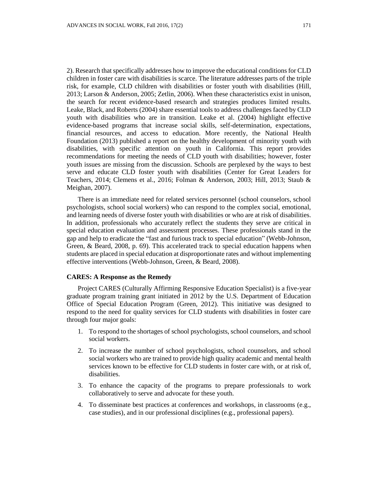2). Research that specifically addresses how to improve the educational conditions for CLD children in foster care with disabilities is scarce. The literature addresses parts of the triple risk, for example, CLD children with disabilities or foster youth with disabilities (Hill, 2013; Larson & Anderson, 2005; Zetlin, 2006). When these characteristics exist in unison, the search for recent evidence-based research and strategies produces limited results. Leake, Black, and Roberts (2004) share essential tools to address challenges faced by CLD youth with disabilities who are in transition. Leake et al. (2004) highlight effective evidence-based programs that increase social skills, self-determination, expectations, financial resources, and access to education. More recently, the National Health Foundation (2013) published a report on the healthy development of minority youth with disabilities, with specific attention on youth in California. This report provides recommendations for meeting the needs of CLD youth with disabilities; however, foster youth issues are missing from the discussion. Schools are perplexed by the ways to best serve and educate CLD foster youth with disabilities (Center for Great Leaders for Teachers, 2014; Clemens et al., 2016; Folman & Anderson, 2003; Hill, 2013; Staub & Meighan, 2007).

There is an immediate need for related services personnel (school counselors, school psychologists, school social workers) who can respond to the complex social, emotional, and learning needs of diverse foster youth with disabilities or who are at risk of disabilities. In addition, professionals who accurately reflect the students they serve are critical in special education evaluation and assessment processes. These professionals stand in the gap and help to eradicate the "fast and furious track to special education" (Webb-Johnson, Green, & Beard, 2008, p. 69). This accelerated track to special education happens when students are placed in special education at disproportionate rates and without implementing effective interventions (Webb-Johnson, Green, & Beard, 2008).

#### **CARES: A Response as the Remedy**

Project CARES (Culturally Affirming Responsive Education Specialist) is a five-year graduate program training grant initiated in 2012 by the U.S. Department of Education Office of Special Education Program (Green, 2012). This initiative was designed to respond to the need for quality services for CLD students with disabilities in foster care through four major goals:

- 1. To respond to the shortages of school psychologists, school counselors, and school social workers.
- 2. To increase the number of school psychologists, school counselors, and school social workers who are trained to provide high quality academic and mental health services known to be effective for CLD students in foster care with, or at risk of, disabilities.
- 3. To enhance the capacity of the programs to prepare professionals to work collaboratively to serve and advocate for these youth.
- 4. To disseminate best practices at conferences and workshops, in classrooms (e.g., case studies), and in our professional disciplines (e.g., professional papers).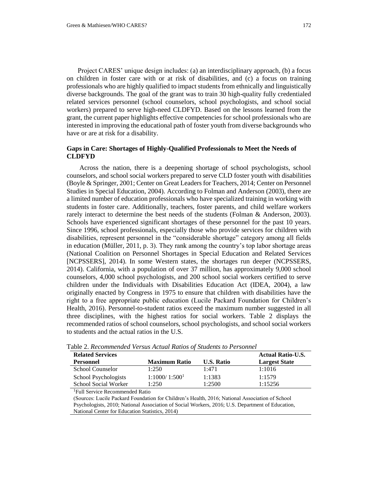Project CARES' unique design includes: (a) an interdisciplinary approach, (b) a focus on children in foster care with or at risk of disabilities, and (c) a focus on training professionals who are highly qualified to impact students from ethnically and linguistically diverse backgrounds. The goal of the grant was to train 30 high-quality fully credentialed related services personnel (school counselors, school psychologists, and school social workers) prepared to serve high-need CLDFYD. Based on the lessons learned from the grant, the current paper highlights effective competencies for school professionals who are interested in improving the educational path of foster youth from diverse backgrounds who have or are at risk for a disability.

### **Gaps in Care: Shortages of Highly-Qualified Professionals to Meet the Needs of CLDFYD**

Across the nation, there is a deepening shortage of school psychologists, school counselors, and school social workers prepared to serve CLD foster youth with disabilities (Boyle & Springer, 2001; Center on Great Leaders for Teachers, 2014; Center on Personnel Studies in Special Education, 2004). According to Folman and Anderson (2003), there are a limited number of education professionals who have specialized training in working with students in foster care. Additionally, teachers, foster parents, and child welfare workers rarely interact to determine the best needs of the students (Folman & Anderson, 2003). Schools have experienced significant shortages of these personnel for the past 10 years. Since 1996, school professionals, especially those who provide services for children with disabilities, represent personnel in the "considerable shortage" category among all fields in education (Müller, 2011, p. 3). They rank among the country's top labor shortage areas (National Coalition on Personnel Shortages in Special Education and Related Services [NCPSSERS], 2014). In some Western states, the shortages run deeper (NCPSSERS, 2014). California, with a population of over 37 million, has approximately 9,000 school counselors, 4,000 school psychologists, and 200 school social workers certified to serve children under the Individuals with Disabilities Education Act (IDEA, 2004), a law originally enacted by Congress in 1975 to ensure that children with disabilities have the right to a free appropriate public education (Lucile Packard Foundation for Children's Health, 2016). Personnel-to-student ratios exceed the maximum number suggested in all three disciplines, with the highest ratios for social workers. Table 2 displays the recommended ratios of school counselors, school psychologists, and school social workers to students and the actual ratios in the U.S.

|                           |                   | <b>Actual Ratio-U.S.</b> |
|---------------------------|-------------------|--------------------------|
| <b>Maximum Ratio</b>      | <b>U.S. Ratio</b> | <b>Largest State</b>     |
| 1:250                     | 1:471             | 1:1016                   |
| 1:1000/1:500 <sup>1</sup> | 1:1383            | 1:1579                   |
| 1:250                     | 1:2500            | 1:15256                  |
|                           |                   |                          |

Table 2. *Recommended Versus Actual Ratios of Students to Personnel*

<sup>1</sup>Full Service Recommended Ratio

(Sources: Lucile Packard Foundation for Children's Health, 2016; National Association of School Psychologists, 2010; National Association of Social Workers, 2016; U.S. Department of Education, National Center for Education Statistics, 2014)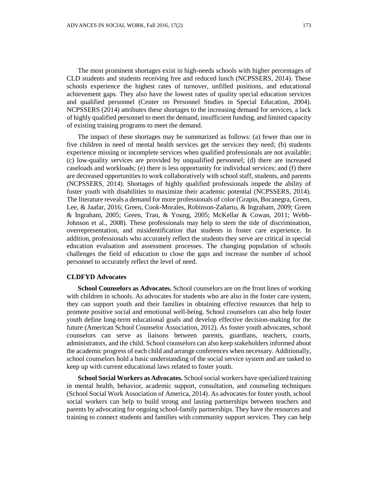The most prominent shortages exist in high-needs schools with higher percentages of CLD students and students receiving free and reduced lunch (NCPSSERS, 2014). These schools experience the highest rates of turnover, unfilled positions, and educational achievement gaps. They also have the lowest rates of quality special education services and qualified personnel (Center on Personnel Studies in Special Education, 2004). NCPSSERS (2014) attributes these shortages to the increasing demand for services, a lack of highly qualified personnel to meet the demand, insufficient funding, and limited capacity of existing training programs to meet the demand.

The impact of these shortages may be summarized as follows: (a) fewer than one in five children in need of mental health services get the services they need; (b) students experience missing or incomplete services when qualified professionals are not available; (c) low-quality services are provided by unqualified personnel; (d) there are increased caseloads and workloads; (e) there is less opportunity for individual services; and (f) there are decreased opportunities to work collaboratively with school staff, students, and parents (NCPSSERS, 2014). Shortages of highly qualified professionals impede the ability of foster youth with disabilities to maximize their academic potential (NCPSSERS, 2014). The literature reveals a demand for more professionals of color (Grapin, Bocanegra, Green, Lee, & Jaafar, 2016; Green, Cook-Morales, Robinson-Zañartu, & Ingraham, 2009; Green & Ingraham, 2005; Green, Tran, & Young, 2005; McKellar & Cowan, 2011; Webb-Johnson et al., 2008). These professionals may help to stem the tide of discrimination, overrepresentation, and misidentification that students in foster care experience. In addition, professionals who accurately reflect the students they serve are critical in special education evaluation and assessment processes. The changing population of schools challenges the field of education to close the gaps and increase the number of school personnel to accurately reflect the level of need.

#### **CLDFYD Advocates**

**School Counselors as Advocates.** School counselors are on the front lines of working with children in schools. As advocates for students who are also in the foster care system, they can support youth and their families in obtaining effective resources that help to promote positive social and emotional well-being. School counselors can also help foster youth define long-term educational goals and develop effective decision-making for the future (American School Counselor Association, 2012). As foster youth advocates, school counselors can serve as liaisons between parents, guardians, teachers, courts, administrators, and the child. School counselors can also keep stakeholders informed about the academic progress of each child and arrange conferences when necessary. Additionally, school counselors hold a basic understanding of the social service system and are tasked to keep up with current educational laws related to foster youth.

**School Social Workers as Advocates.** School social workers have specialized training in mental health, behavior, academic support, consultation, and counseling techniques (School Social Work Association of America, 2014). As advocates for foster youth, school social workers can help to build strong and lasting partnerships between teachers and parents by advocating for ongoing school-family partnerships. They have the resources and training to connect students and families with community support services. They can help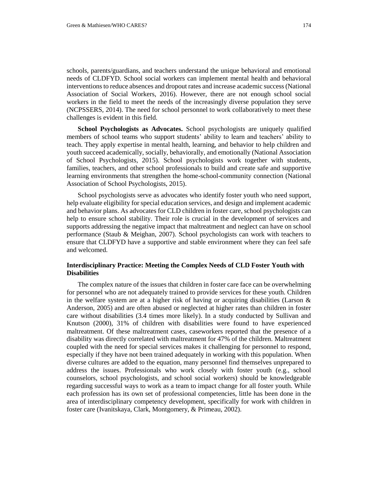schools, parents/guardians, and teachers understand the unique behavioral and emotional needs of CLDFYD. School social workers can implement mental health and behavioral interventions to reduce absences and dropout rates and increase academic success (National Association of Social Workers, 2016). However, there are not enough school social workers in the field to meet the needs of the increasingly diverse population they serve (NCPSSERS, 2014). The need for school personnel to work collaboratively to meet these challenges is evident in this field.

**School Psychologists as Advocates.** School psychologists are uniquely qualified members of school teams who support students' ability to learn and teachers' ability to teach. They apply expertise in mental health, learning, and behavior to help children and youth succeed academically, socially, behaviorally, and emotionally (National Association of School Psychologists, 2015). School psychologists work together with students, families, teachers, and other school professionals to build and create safe and supportive learning environments that strengthen the home-school-community connection (National Association of School Psychologists, 2015).

School psychologists serve as advocates who identify foster youth who need support, help evaluate eligibility for special education services, and design and implement academic and behavior plans. As advocates for CLD children in foster care, school psychologists can help to ensure school stability. Their role is crucial in the development of services and supports addressing the negative impact that maltreatment and neglect can have on school performance (Staub & Meighan, 2007). School psychologists can work with teachers to ensure that CLDFYD have a supportive and stable environment where they can feel safe and welcomed.

### **Interdisciplinary Practice: Meeting the Complex Needs of CLD Foster Youth with Disabilities**

The complex nature of the issues that children in foster care face can be overwhelming for personnel who are not adequately trained to provide services for these youth. Children in the welfare system are at a higher risk of having or acquiring disabilities (Larson  $\&$ Anderson, 2005) and are often abused or neglected at higher rates than children in foster care without disabilities (3.4 times more likely). In a study conducted by Sullivan and Knutson (2000), 31% of children with disabilities were found to have experienced maltreatment. Of these maltreatment cases, caseworkers reported that the presence of a disability was directly correlated with maltreatment for 47% of the children. Maltreatment coupled with the need for special services makes it challenging for personnel to respond, especially if they have not been trained adequately in working with this population. When diverse cultures are added to the equation, many personnel find themselves unprepared to address the issues. Professionals who work closely with foster youth (e.g., school counselors, school psychologists, and school social workers) should be knowledgeable regarding successful ways to work as a team to impact change for all foster youth. While each profession has its own set of professional competencies, little has been done in the area of interdisciplinary competency development, specifically for work with children in foster care (Ivanitskaya, Clark, Montgomery, & Primeau, 2002).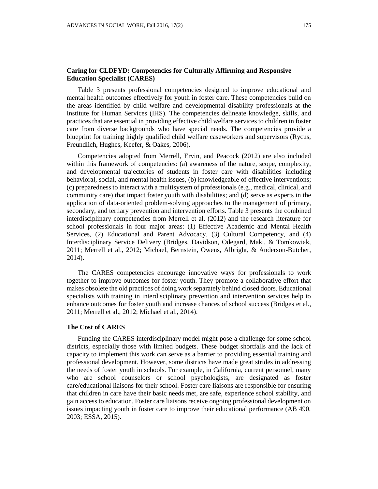## **Caring for CLDFYD: Competencies for Culturally Affirming and Responsive Education Specialist (CARES)**

Table 3 presents professional competencies designed to improve educational and mental health outcomes effectively for youth in foster care. These competencies build on the areas identified by child welfare and developmental disability professionals at the Institute for Human Services (IHS). The competencies delineate knowledge, skills, and practices that are essential in providing effective child welfare services to children in foster care from diverse backgrounds who have special needs. The competencies provide a blueprint for training highly qualified child welfare caseworkers and supervisors (Rycus, Freundlich, Hughes, Keefer, & Oakes, 2006).

Competencies adopted from Merrell, Ervin, and Peacock (2012) are also included within this framework of competencies: (a) awareness of the nature, scope, complexity, and developmental trajectories of students in foster care with disabilities including behavioral, social, and mental health issues, (b) knowledgeable of effective interventions; (c) preparedness to interact with a multisystem of professionals (e.g., medical, clinical, and community care) that impact foster youth with disabilities; and (d) serve as experts in the application of data-oriented problem-solving approaches to the management of primary, secondary, and tertiary prevention and intervention efforts. Table 3 presents the combined interdisciplinary competencies from Merrell et al. (2012) and the research literature for school professionals in four major areas: (1) Effective Academic and Mental Health Services, (2) Educational and Parent Advocacy, (3) Cultural Competency, and (4) Interdisciplinary Service Delivery (Bridges, Davidson, Odegard, Maki, & Tomkowiak, 2011; Merrell et al., 2012; Michael, Bernstein, Owens, Albright, & Anderson-Butcher, 2014).

The CARES competencies encourage innovative ways for professionals to work together to improve outcomes for foster youth. They promote a collaborative effort that makes obsolete the old practices of doing work separately behind closed doors. Educational specialists with training in interdisciplinary prevention and intervention services help to enhance outcomes for foster youth and increase chances of school success (Bridges et al., 2011; Merrell et al., 2012; Michael et al., 2014).

#### **The Cost of CARES**

Funding the CARES interdisciplinary model might pose a challenge for some school districts, especially those with limited budgets. These budget shortfalls and the lack of capacity to implement this work can serve as a barrier to providing essential training and professional development. However, some districts have made great strides in addressing the needs of foster youth in schools. For example, in California, current personnel, many who are school counselors or school psychologists, are designated as foster care/educational liaisons for their school. Foster care liaisons are responsible for ensuring that children in care have their basic needs met, are safe, experience school stability, and gain access to education. Foster care liaisons receive ongoing professional development on issues impacting youth in foster care to improve their educational performance (AB 490, 2003; ESSA, 2015).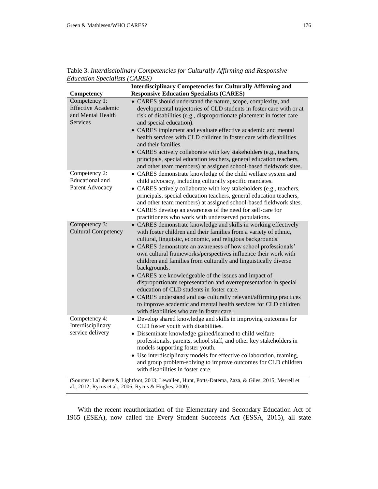|                                                                             | <b>Interdisciplinary Competencies for Culturally Affirming and</b>                                                                                                                                                                                                                                                                                                                                                                                                                                                                                                                                                                                                                                                                                                                         |
|-----------------------------------------------------------------------------|--------------------------------------------------------------------------------------------------------------------------------------------------------------------------------------------------------------------------------------------------------------------------------------------------------------------------------------------------------------------------------------------------------------------------------------------------------------------------------------------------------------------------------------------------------------------------------------------------------------------------------------------------------------------------------------------------------------------------------------------------------------------------------------------|
| Competency                                                                  | <b>Responsive Education Specialists (CARES)</b>                                                                                                                                                                                                                                                                                                                                                                                                                                                                                                                                                                                                                                                                                                                                            |
| Competency 1:<br><b>Effective Academic</b><br>and Mental Health<br>Services | • CARES should understand the nature, scope, complexity, and<br>developmental trajectories of CLD students in foster care with or at<br>risk of disabilities (e.g., disproportionate placement in foster care<br>and special education).<br>• CARES implement and evaluate effective academic and mental<br>health services with CLD children in foster care with disabilities<br>and their families.<br>• CARES actively collaborate with key stakeholders (e.g., teachers,<br>principals, special education teachers, general education teachers,<br>and other team members) at assigned school-based fieldwork sites.                                                                                                                                                                   |
| Competency 2:<br><b>Educational</b> and<br>Parent Advocacy                  | • CARES demonstrate knowledge of the child welfare system and<br>child advocacy, including culturally specific mandates.<br>• CARES actively collaborate with key stakeholders (e.g., teachers,<br>principals, special education teachers, general education teachers,<br>and other team members) at assigned school-based fieldwork sites.<br>• CARES develop an awareness of the need for self-care for<br>practitioners who work with underserved populations.                                                                                                                                                                                                                                                                                                                          |
| Competency 3:<br><b>Cultural Competency</b>                                 | • CARES demonstrate knowledge and skills in working effectively<br>with foster children and their families from a variety of ethnic,<br>cultural, linguistic, economic, and religious backgrounds.<br>• CARES demonstrate an awareness of how school professionals'<br>own cultural frameworks/perspectives influence their work with<br>children and families from culturally and linguistically diverse<br>backgrounds.<br>• CARES are knowledgeable of the issues and impact of<br>disproportionate representation and overrepresentation in special<br>education of CLD students in foster care.<br>• CARES understand and use culturally relevant/affirming practices<br>to improve academic and mental health services for CLD children<br>with disabilities who are in foster care. |
| Competency 4:<br>Interdisciplinary<br>service delivery                      | • Develop shared knowledge and skills in improving outcomes for<br>CLD foster youth with disabilities.<br>• Disseminate knowledge gained/learned to child welfare<br>professionals, parents, school staff, and other key stakeholders in<br>models supporting foster youth.<br>• Use interdisciplinary models for effective collaboration, teaming,<br>and group problem-solving to improve outcomes for CLD children<br>with disabilities in foster care.                                                                                                                                                                                                                                                                                                                                 |

Table 3. *Interdisciplinary Competencies for Culturally Affirming and Responsive Education Specialists (CARES)*

(Sources: LaLiberte & Lightfoot, 2013; Lewallen, Hunt, Potts-Datema, Zaza, & Giles, 2015; Merrell et al., 2012; Rycus et al., 2006; Rycus & Hughes, 2000)

With the recent reauthorization of the Elementary and Secondary Education Act of 1965 (ESEA), now called the Every Student Succeeds Act (ESSA, 2015), all state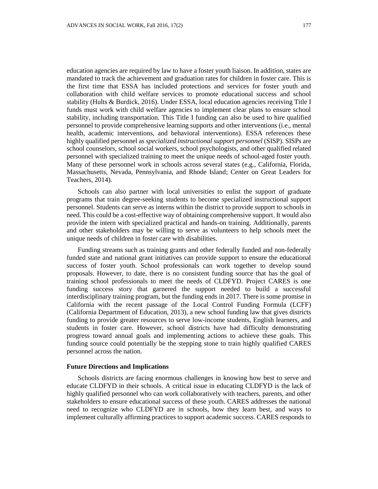education agencies are required by law to have a foster youth liaison. In addition, states are mandated to track the achievement and graduation rates for children in foster care. This is the first time that ESSA has included protections and services for foster youth and collaboration with child welfare services to promote educational success and school stability (Hults & Burdick, 2016). Under ESSA, local education agencies receiving Title I funds must work with child welfare agencies to implement clear plans to ensure school stability, including transportation. This Title I funding can also be used to hire qualified personnel to provide comprehensive learning supports and other interventions (i.e., mental health, academic interventions, and behavioral interventions). ESSA references these highly qualified personnel as *specialized instructional support personnel* (SISP). SISPs are school counselors, school social workers, school psychologists, and other qualified related personnel with specialized training to meet the unique needs of school-aged foster youth. Many of these personnel work in schools across several states (e.g., California, Florida, Massachusetts, Nevada, Pennsylvania, and Rhode Island; Center on Great Leaders for Teachers, 2014).

Schools can also partner with local universities to enlist the support of graduate programs that train degree-seeking students to become specialized instructional support personnel. Students can serve as interns within the district to provide support to schools in need. This could be a cost-effective way of obtaining comprehensive support. It would also provide the intern with specialized practical and hands-on training. Additionally, parents and other stakeholders may be willing to serve as volunteers to help schools meet the unique needs of children in foster care with disabilities.

Funding streams such as training grants and other federally funded and non-federally funded state and national grant initiatives can provide support to ensure the educational success of foster youth. School professionals can work together to develop sound proposals. However, to date, there is no consistent funding source that has the goal of training school professionals to meet the needs of CLDFYD. Project CARES is one funding success story that garnered the support needed to build a successful interdisciplinary training program, but the funding ends in 2017. There is some promise in California with the recent passage of the Local Control Funding Formula (LCFF) (California Department of Education, 2013), a new school funding law that gives districts funding to provide greater resources to serve low-income students, English learners, and students in foster care. However, school districts have had difficulty demonstrating progress toward annual goals and implementing actions to achieve these goals. This funding source could potentially be the stepping stone to train highly qualified CARES personnel across the nation.

#### **Future Directions and Implications**

Schools districts are facing enormous challenges in knowing how best to serve and educate CLDFYD in their schools. A critical issue in educating CLDFYD is the lack of highly qualified personnel who can work collaboratively with teachers, parents, and other stakeholders to ensure educational success of these youth. CARES addresses the national need to recognize who CLDFYD are in schools, how they learn best, and ways to implement culturally affirming practices to support academic success. CARES responds to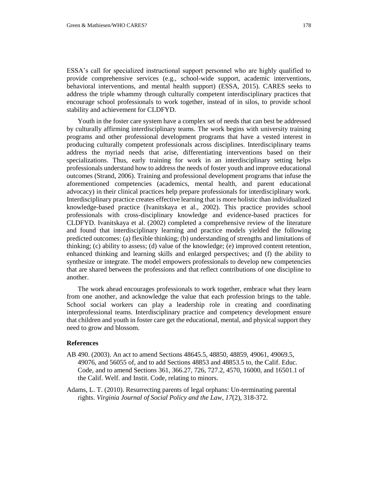ESSA's call for specialized instructional support personnel who are highly qualified to provide comprehensive services (e.g., school-wide support, academic interventions, behavioral interventions, and mental health support) (ESSA, 2015). CARES seeks to address the triple whammy through culturally competent interdisciplinary practices that encourage school professionals to work together, instead of in silos, to provide school stability and achievement for CLDFYD.

Youth in the foster care system have a complex set of needs that can best be addressed by culturally affirming interdisciplinary teams. The work begins with university training programs and other professional development programs that have a vested interest in producing culturally competent professionals across disciplines. Interdisciplinary teams address the myriad needs that arise, differentiating interventions based on their specializations. Thus, early training for work in an interdisciplinary setting helps professionals understand how to address the needs of foster youth and improve educational outcomes (Strand, 2006). Training and professional development programs that infuse the aforementioned competencies (academics, mental health, and parent educational advocacy) in their clinical practices help prepare professionals for interdisciplinary work. Interdisciplinary practice creates effective learning that is more holistic than individualized knowledge-based practice (Ivanitskaya et al., 2002). This practice provides school professionals with cross-disciplinary knowledge and evidence-based practices for CLDFYD. Ivanitskaya et al. (2002) completed a comprehensive review of the literature and found that interdisciplinary learning and practice models yielded the following predicted outcomes: (a) flexible thinking; (b) understanding of strengths and limitations of thinking; (c) ability to assess; (d) value of the knowledge; (e) improved content retention, enhanced thinking and learning skills and enlarged perspectives; and (f) the ability to synthesize or integrate. The model empowers professionals to develop new competencies that are shared between the professions and that reflect contributions of one discipline to another.

The work ahead encourages professionals to work together, embrace what they learn from one another, and acknowledge the value that each profession brings to the table. School social workers can play a leadership role in creating and coordinating interprofessional teams. Interdisciplinary practice and competency development ensure that children and youth in foster care get the educational, mental, and physical support they need to grow and blossom.

#### **References**

- AB 490. (2003). An act to amend Sections 48645.5, 48850, 48859, 49061, 49069.5, 49076, and 56055 of, and to add Sections 48853 and 48853.5 to, the Calif. Educ. Code, and to amend Sections 361, 366.27, 726, 727.2, 4570, 16000, and 16501.1 of the Calif. Welf. and Instit. Code, relating to minors.
- Adams, L. T. (2010). Resurrecting parents of legal orphans: Un-terminating parental rights. *Virginia Journal of Social Policy and the Law*, *17*(2), 318-372.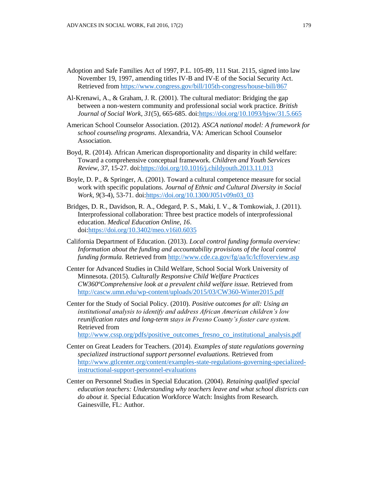- Adoption and Safe Families Act of 1997, P.L. 105-89, 111 Stat. 2115, signed into law November 19, 1997, amending titles IV-B and IV-E of the Social Security Act. Retrieved fro[m https://www.congress.gov/bill/105th-congress/house-bill/867](https://www.congress.gov/bill/105th-congress/house-bill/867)
- Al‐Krenawi, A., & Graham, J. R. (2001). The cultural mediator: Bridging the gap between a non‐western community and professional social work practice. *British Journal of Social Work*, *31*(5), 665-685. doi[:https://doi.org/10.1093/bjsw/31.5.665](https://doi.org/10.1093/bjsw/31.5.665)
- American School Counselor Association. (2012). *ASCA national model: A framework for school counseling programs*. Alexandria, VA: American School Counselor Association.
- Boyd, R. (2014). African American disproportionality and disparity in child welfare: Toward a comprehensive conceptual framework. *Children and Youth Services Review*, *37*, 15-27. doi[:https://doi.org/10.1016/j.childyouth.2013.11.013](https://doi.org/10.1016/j.childyouth.2013.11.013)
- Boyle, D. P., & Springer, A. (2001). Toward a cultural competence measure for social work with specific populations. *Journal of Ethnic and Cultural Diversity in Social Work*, *9*(3-4), 53-71. doi[:https://doi.org/10.1300/J051v09n03\\_03](https://doi.org/10.1300/J051v09n03_03)
- Bridges, D. R., Davidson, R. A., Odegard, P. S., Maki, I. V., & Tomkowiak, J. (2011). Interprofessional collaboration: Three best practice models of interprofessional education. *Medical Education Online, 16*. doi[:https://doi.org/10.3402/meo.v16i0.6035](https://doi.org/10.3402/meo.v16i0.6035)
- California Department of Education. (2013). *Local control funding formula overview: Information about the funding and accountability provisions of the local control funding formula.* Retrieved from<http://www.cde.ca.gov/fg/aa/lc/lcffoverview.asp>
- Center for Advanced Studies in Child Welfare, School Social Work University of Minnesota. (2015)*. Culturally Responsive Child Welfare Practices CW360ºComprehensive look at a prevalent child welfare issue.* Retrieved from <http://cascw.umn.edu/wp-content/uploads/2015/03/CW360-Winter2015.pdf>
- Center for the Study of Social Policy. (2010). *Positive outcomes for all: Using an institutional analysis to identify and address African American children's low reunification rates and long-term stays in Fresno County's foster care system.*  Retrieved from

[http://www.cssp.org/pdfs/positive\\_outcomes\\_fresno\\_co\\_institutional\\_analysis.pdf](http://www.cssp.org/pdfs/positive_outcomes_fresno_co_institutional_analysis.pdf)

- Center on Great Leaders for Teachers. (2014). *Examples of state regulations governing specialized instructional support personnel evaluations.* Retrieved from [http://www.gtlcenter.org/content/examples-state-regulations-governing-specialized](http://www.gtlcenter.org/content/examples-state-regulations-governing-specialized-instructional-support-personnel-evaluations)[instructional-support-personnel-evaluations](http://www.gtlcenter.org/content/examples-state-regulations-governing-specialized-instructional-support-personnel-evaluations)
- Center on Personnel Studies in Special Education. (2004). *Retaining qualified special education teachers: Understanding why teachers leave and what school districts can do about it.* Special Education Workforce Watch: Insights from Research. Gainesville, FL: Author.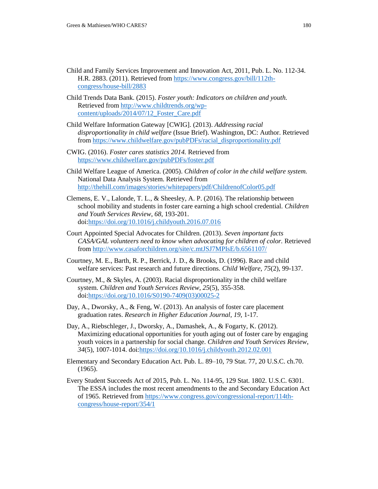- Child and Family Services Improvement and Innovation Act, 2011, Pub. L. No. 112-34. H.R. 2883. (2011). Retrieved from [https://www.congress.gov/bill/112th](https://www.congress.gov/bill/112th-congress/house-bill/2883)[congress/house-bill/2883](https://www.congress.gov/bill/112th-congress/house-bill/2883)
- Child Trends Data Bank. (2015). *Foster youth: Indicators on children and youth.* Retrieved fro[m http://www.childtrends.org/wp](http://www.childtrends.org/wp-content/uploads/2014/07/12_Foster_Care.pdf)[content/uploads/2014/07/12\\_Foster\\_Care.pdf](http://www.childtrends.org/wp-content/uploads/2014/07/12_Foster_Care.pdf)
- Child Welfare Information Gateway [CWIG]. (2013). *Addressing racial disproportionality in child welfare* (Issue Brief). Washington, DC: Author. Retrieved from [https://www.childwelfare.gov/pubPDFs/racial\\_disproportionality.pdf](https://www.childwelfare.gov/pubPDFs/racial_disproportionality.pdf)
- CWIG. (2016). *Foster cares statistics 2014.* Retrieved from <https://www.childwelfare.gov/pubPDFs/foster.pdf>
- Child Welfare League of America. (2005). *Children of color in the child welfare system.*  National Data Analysis System. Retrieved from <http://thehill.com/images/stories/whitepapers/pdf/ChildrenofColor05.pdf>
- Clemens, E. V., Lalonde, T. L., & Sheesley, A. P. (2016). The relationship between school mobility and students in foster care earning a high school credential. *Children and Youth Services Review*, *68*, 193-201. doi[:https://doi.org/10.1016/j.childyouth.2016.07.016](https://doi.org/10.1016/j.childyouth.2016.07.016)
- Court Appointed Special Advocates for Children. (2013). *Seven important facts CASA/GAL volunteers need to know when advocating for children of color.* Retrieved from<http://www.casaforchildren.org/site/c.mtJSJ7MPIsE/b.6561107/>
- Courtney, M. E., Barth, R. P., Berrick, J. D., & Brooks, D. (1996). Race and child welfare services: Past research and future directions. *Child Welfare*, *75*(2), 99-137.
- Courtney, M., & Skyles, A. (2003). Racial disproportionality in the child welfare system. *Children and Youth Services Review*, *25*(5), 355-358. doi[:https://doi.org/10.1016/S0190-7409\(03\)00025-2](https://doi.org/10.1016/S0190-7409(03)00025-2)
- Day, A., Dworsky, A., & Feng, W. (2013). An analysis of foster care placement graduation rates. *Research in Higher Education Journal, 19*, 1-17.
- Day, A., Riebschleger, J., Dworsky, A., Damashek, A., & Fogarty, K. (2012). Maximizing educational opportunities for youth aging out of foster care by engaging youth voices in a partnership for social change. *Children and Youth Services Review*, *34*(5), 1007-1014. doi[:https://doi.org/10.1016/j.childyouth.2012.02.001](https://doi.org/10.1016/j.childyouth.2012.02.001)
- Elementary and Secondary Education Act. Pub. L. 89–10, 79 Stat. 77, 20 U.S.C. ch.70. (1965).
- Every Student Succeeds Act of 2015, Pub. L. No. 114-95, 129 Stat. 1802. U.S.C. 6301. The ESSA includes the most recent amendments to the and Secondary Education Act of 1965. Retrieved from [https://www.congress.gov/congressional-report/114th](https://www.congress.gov/congressional-report/114th-congress/house-report/354/1)[congress/house-report/354/1](https://www.congress.gov/congressional-report/114th-congress/house-report/354/1)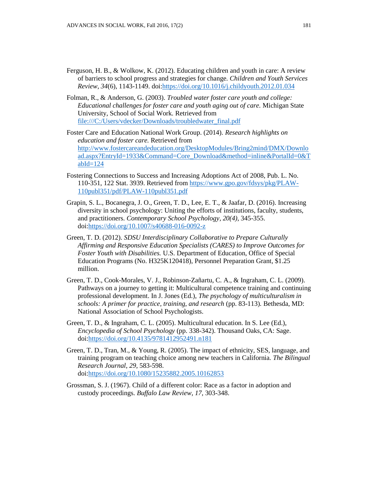- Ferguson, H. B., & Wolkow, K. (2012). Educating children and youth in care: A review of barriers to school progress and strategies for change. *Children and Youth Services Review*, *34*(6), 1143-1149. doi[:https://doi.org/10.1016/j.childyouth.2012.01.034](https://doi.org/10.1016/j.childyouth.2012.01.034)
- Folman, R., & Anderson, G. (2003). *Troubled water foster care youth and college: Educational challenges for foster care and youth aging out of care.* Michigan State University, School of Social Work. Retrieved from [file:///C:/Users/vdecker/Downloads/troubledwater\\_final.pdf](file:///C:/Users/vdecker/Downloads/troubledwater_final.pdf)
- Foster Care and Education National Work Group. (2014). *Research highlights on education and foster care.* Retrieved from [http://www.fostercareandeducation.org/DesktopModules/Bring2mind/DMX/Downlo](http://www.fostercareandeducation.org/DesktopModules/Bring2mind/DMX/Download.aspx?EntryId=1933&Command=Core_Download&method=inline&PortalId=0&TabId=124) [ad.aspx?EntryId=1933&Command=Core\\_Download&method=inline&PortalId=0&T](http://www.fostercareandeducation.org/DesktopModules/Bring2mind/DMX/Download.aspx?EntryId=1933&Command=Core_Download&method=inline&PortalId=0&TabId=124)  $abId=124$
- Fostering Connections to Success and Increasing Adoptions Act of 2008, Pub. L. No. 110-351, 122 Stat. 3939. Retrieved from [https://www.gpo.gov/fdsys/pkg/PLAW-](https://www.gpo.gov/fdsys/pkg/PLAW-110publ351/pdf/PLAW-110publ351.pdf)[110publ351/pdf/PLAW-110publ351.pdf](https://www.gpo.gov/fdsys/pkg/PLAW-110publ351/pdf/PLAW-110publ351.pdf)
- Grapin, S. L., Bocanegra, J. O., Green, T. D., Lee, E. T., & Jaafar, D. (2016). Increasing diversity in school psychology: Uniting the efforts of institutions, faculty, students, and practitioners. *Contemporary School Psychology, 20(4)*, 345-355. doi[:https://doi.org/10.1007/s40688-016-0092-z](https://doi.org/10.1007/s40688-016-0092-z)
- Green, T. D. (2012). *SDSU Interdisciplinary Collaborative to Prepare Culturally Affirming and Responsive Education Specialists (CARES) to Improve Outcomes for Foster Youth with Disabilities.* U.S. Department of Education, Office of Special Education Programs (No. H325K120418), Personnel Preparation Grant, \$1.25 million.
- Green, T. D., Cook-Morales, V. J., Robinson-Zañartu, C. A., & Ingraham, C. L. (2009). Pathways on a journey to getting it: Multicultural competence training and continuing professional development. In J. Jones (Ed.), *The psychology of multiculturalism in schools: A primer for practice, training, and research* (pp. 83-113)*.* Bethesda, MD: National Association of School Psychologists.
- Green, T. D., & Ingraham, C. L. (2005). Multicultural education. In S. Lee (Ed.), *Encyclopedia of School Psychology* (pp. 338-342). Thousand Oaks, CA: Sage. doi[:https://doi.org/10.4135/9781412952491.n181](https://doi.org/10.4135/9781412952491.n181)
- Green, T. D., Tran, M., & Young, R. (2005). The impact of ethnicity, SES, language, and training program on teaching choice among new teachers in California*. The Bilingual Research Journal*, *29*, 583-598. doi[:https://doi.org/10.1080/15235882.2005.10162853](https://doi.org/10.1080/15235882.2005.10162853)
- Grossman, S. J. (1967). Child of a different color: Race as a factor in adoption and custody proceedings. *Buffalo Law Review*, *17*, 303-348.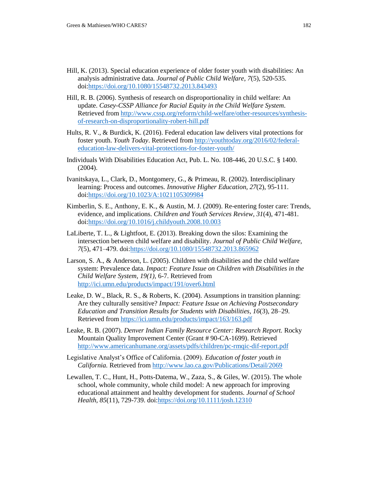- Hill, K. (2013). Special education experience of older foster youth with disabilities: An analysis administrative data. *Journal of Public Child Welfare*, *7*(5), 520-535. doi[:https://doi.org/10.1080/15548732.2013.843493](https://doi.org/10.1080/15548732.2013.843493)
- Hill, R. B. (2006). Synthesis of research on disproportionality in child welfare: An update. *Casey-CSSP Alliance for Racial Equity in the Child Welfare System*. Retrieved fro[m http://www.cssp.org/reform/child-welfare/other-resources/synthesis](http://www.cssp.org/reform/child-welfare/other-resources/synthesis-of-research-on-disproportionality-robert-hill.pdf)[of-research-on-disproportionality-robert-hill.pdf](http://www.cssp.org/reform/child-welfare/other-resources/synthesis-of-research-on-disproportionality-robert-hill.pdf)
- Hults, R. V., & Burdick, K. (2016). Federal education law delivers vital protections for foster youth. *Youth Today*. Retrieved from [http://youthtoday.org/2016/02/federal](http://youthtoday.org/2016/02/federal-education-law-delivers-vital-protections-for-foster-youth/)[education-law-delivers-vital-protections-for-foster-youth/](http://youthtoday.org/2016/02/federal-education-law-delivers-vital-protections-for-foster-youth/)
- Individuals With Disabilities Education Act, Pub. L. No. 108-446, 20 U.S.C. § 1400. (2004).
- Ivanitskaya, L., Clark, D., Montgomery, G., & Primeau, R. (2002). Interdisciplinary learning: Process and outcomes. *Innovative Higher Education, 27*(2), 95-111. doi[:https://doi.org/10.1023/A:1021105309984](https://doi.org/10.1023/A:1021105309984)
- Kimberlin, S. E., Anthony, E. K., & Austin, M. J. (2009). Re-entering foster care: Trends, evidence, and implications. *Children and Youth Services Review, 31*(4), 471-481. doi[:https://doi.org/10.1016/j.childyouth.2008.10.003](https://doi.org/10.1016/j.childyouth.2008.10.003)
- LaLiberte, T. L., & Lightfoot, E. (2013). Breaking down the silos: Examining the intersection between child welfare and disability. *Journal of Public Child Welfare, 7*(5), 471–479. doi[:https://doi.org/10.1080/15548732.2013.865962](https://doi.org/10.1080/15548732.2013.865962)
- Larson, S. A., & Anderson, L. (2005). Children with disabilities and the child welfare system: Prevalence data. *Impact: Feature Issue on Children with Disabilities in the Child Welfare System, 19(1),* 6-7. Retrieved from <http://ici.umn.edu/products/impact/191/over6.html>
- Leake, D. W., Black, R. S., & Roberts, K. (2004). Assumptions in transition planning: Are they culturally sensitive? *Impact: Feature Issue on Achieving Postsecondary Education and Transition Results for Students with Disabilities, 16*(3), 28–29. Retrieved from <https://ici.umn.edu/products/impact/163/163.pdf>
- Leake, R. B. (2007). *Denver Indian Family Resource Center: Research Report.* Rocky Mountain Quality Improvement Center (Grant # 90-CA-1699). Retrieved <http://www.americanhumane.org/assets/pdfs/children/pc-rmqic-dif-report.pdf>
- Legislative Analyst's Office of California. (2009). *Education of foster youth in California.* Retrieved from<http://www.lao.ca.gov/Publications/Detail/2069>
- Lewallen, T. C., Hunt, H., Potts-Datema, W., Zaza, S., & Giles, W. (2015). The whole school, whole community, whole child model: A new approach for improving educational attainment and healthy development for students. *Journal of School Health, 85*(11), 729-739. doi[:https://doi.org/10.1111/josh.12310](https://doi.org/10.1111/josh.12310)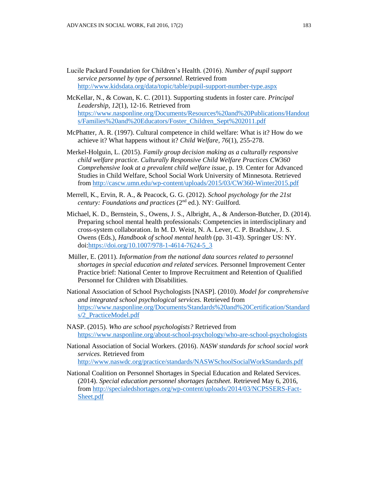- Lucile Packard Foundation for Children's Health. (2016). *Number of pupil support service personnel by type of personnel.* Retrieved from <http://www.kidsdata.org/data/topic/table/pupil-support-number-type.aspx>
- McKellar, N., & Cowan, K. C. (2011). Supporting students in foster care. *Principal Leadership*, *12*(1), 12-16. Retrieved from [https://www.nasponline.org/Documents/Resources%20and%20Publications/Handout](https://www.nasponline.org/Documents/Resources%20and%20Publications/Handouts/Families%20and%20Educators/Foster_Children_Sept%202011.pdf) [s/Families%20and%20Educators/Foster\\_Children\\_Sept%202011.pdf](https://www.nasponline.org/Documents/Resources%20and%20Publications/Handouts/Families%20and%20Educators/Foster_Children_Sept%202011.pdf)
- McPhatter, A. R. (1997). Cultural competence in child welfare: What is it? How do we achieve it? What happens without it? *Child Welfare, 76*(1), 255-278.
- Merkel-Holguin, L. (2015). *Family group decision making as a culturally responsive child welfare practice. Culturally Responsive Child Welfare Practices CW360 Comprehensive look at a prevalent child welfare issue,* p. 19*.* Center for Advanced Studies in Child Welfare, School Social Work University of Minnesota. Retrieved from<http://cascw.umn.edu/wp-content/uploads/2015/03/CW360-Winter2015.pdf>
- Merrell, K., Ervin, R. A., & Peacock, G. G. (2012). *School psychology for the 21st century: Foundations and practices (2<sup>nd</sup> ed.).* NY: Guilford.
- Michael, K. D., Bernstein, S., Owens, J. S., Albright, A., & Anderson-Butcher, D. (2014). Preparing school mental health professionals: Competencies in interdisciplinary and cross-system collaboration. In M. D. Weist, N. A. Lever, C. P. Bradshaw, J. S. Owens (Eds.), *Handbook of school mental health* (pp. 31-43). Springer US: NY. doi[:https://doi.org/10.1007/978-1-4614-7624-5\\_3](https://doi.org/10.1007/978-1-4614-7624-5_3)
- Müller, E. (2011). *Information from the national data sources related to personnel shortages in special education and related services.* Personnel Improvement Center Practice brief: National Center to Improve Recruitment and Retention of Qualified Personnel for Children with Disabilities.
- National Association of School Psychologists [NASP]. (2010). *Model for comprehensive and integrated school psychological services.* Retrieved from [https://www.nasponline.org/Documents/Standards%20and%20Certification/Standard](https://www.nasponline.org/Documents/Standards%20and%20Certification/Standards/2_PracticeModel.pdf) [s/2\\_PracticeModel.pdf](https://www.nasponline.org/Documents/Standards%20and%20Certification/Standards/2_PracticeModel.pdf)
- NASP. (2015). *Who are school psychologists?* Retrieved from <https://www.nasponline.org/about-school-psychology/who-are-school-psychologists>
- National Association of Social Workers. (2016). *NASW standards for school social work services.* Retrieved from <http://www.naswdc.org/practice/standards/NASWSchoolSocialWorkStandards.pdf>
- National Coalition on Personnel Shortages in Special Education and Related Services. (2014). *Special education personnel shortages factsheet.* Retrieved May 6, 2016, from [http://specialedshortages.org/wp-content/uploads/2014/03/NCPSSERS-Fact-](http://specialedshortages.org/wp-content/uploads/2014/03/NCPSSERS-Fact-Sheet.pdf)[Sheet.pdf](http://specialedshortages.org/wp-content/uploads/2014/03/NCPSSERS-Fact-Sheet.pdf)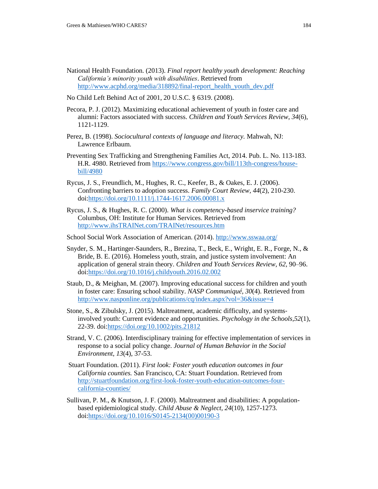- National Health Foundation. (2013). *Final report healthy youth development: Reaching California's minority youth with disabilities*. Retrieved from [http://www.acphd.org/media/318892/final-report\\_health\\_youth\\_dev.pdf](http://www.acphd.org/media/318892/final-report_health_youth_dev.pdf)
- No Child Left Behind Act of 2001, 20 U.S.C. § 6319. (2008).
- Pecora, P. J. (2012). Maximizing educational achievement of youth in foster care and alumni: Factors associated with success. *Children and Youth Services Review*, *34*(6), 1121-1129.
- Perez, B. (1998). *Sociocultural contexts of language and literacy.* Mahwah, NJ: Lawrence Erlbaum.
- Preventing Sex Trafficking and Strengthening Families Act, 2014. Pub. L. No. 113-183. H.R. 4980. Retrieved fro[m https://www.congress.gov/bill/113th-congress/house](https://www.congress.gov/bill/113th-congress/house-bill/4980)[bill/4980](https://www.congress.gov/bill/113th-congress/house-bill/4980)
- Rycus, J. S., Freundlich, M., Hughes, R. C., Keefer, B., & Oakes, E. J. (2006). Confronting barriers to adoption success. *Family Court Review, 44*(2), 210-230. doi[:https://doi.org/10.1111/j.1744-1617.2006.00081.x](https://doi.org/10.1111/j.1744-1617.2006.00081.x)
- Rycus, J. S., & Hughes, R. C. (2000). *What is competency-based inservice training?* Columbus, OH: Institute for Human Services. Retrieved from [http://www.ihsTRAINet.com/TRAINet/resources.htm](http://www.ihstrainet.com/TRAINet/resources.htm)
- School Social Work Association of American. (2014).<http://www.sswaa.org/>
- Snyder, S. M., Hartinger-Saunders, R., Brezina, T., Beck, E., Wright, E. R., Forge, N., & Bride, B. E. (2016). Homeless youth, strain, and justice system involvement: An application of general strain theory. *Children and Youth Services Review*, *62*, 90–96. doi[:https://doi.org/10.1016/j.childyouth.2016.02.002](https://doi.org/10.1016/j.childyouth.2016.02.002)
- Staub, D., & Meighan, M. (2007). Improving educational success for children and youth in foster care: Ensuring school stability. *NASP Communiqué, 30*(4). Retrieved from <http://www.nasponline.org/publications/cq/index.aspx?vol=36&issue=4>
- Stone, S., & Zibulsky, J. (2015). Maltreatment, academic difficulty, and systems‐ involved youth: Current evidence and opportunities. *Psychology in the Schools,52*(1), 22-39. doi[:https://doi.org/10.1002/pits.21812](https://doi.org/10.1002/pits.21812)
- Strand, V. C. (2006). Interdisciplinary training for effective implementation of services in response to a social policy change. *Journal of Human Behavior in the Social Environment, 13*(4), 37-53.
- Stuart Foundation. (2011). *First look: Foster youth education outcomes in four California counties.* San Francisco, CA: Stuart Foundation. Retrieved from [http://stuartfoundation.org/first-look-foster-youth-education-outcomes-four](http://stuartfoundation.org/first-look-foster-youth-education-outcomes-four-california-counties/)[california-counties/](http://stuartfoundation.org/first-look-foster-youth-education-outcomes-four-california-counties/)
- Sullivan, P. M., & Knutson, J. F. (2000). Maltreatment and disabilities: A populationbased epidemiological study. *Child Abuse & Neglect, 24*(10), 1257-1273. doi[:https://doi.org/10.1016/S0145-2134\(00\)00190-3](https://doi.org/10.1016/S0145-2134(00)00190-3)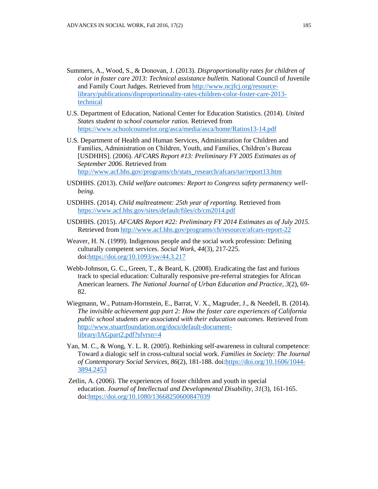- Summers, A., Wood, S., & Donovan, J. (2013). *Disproportionality rates for children of color in foster care 2013: Technical assistance bulletin.* National Council of Juvenile and Family Court Judges. Retrieved from [http://www.ncjfcj.org/resource](http://www.ncjfcj.org/resource-library/publications/disproportionality-rates-children-color-foster-care-2013-technical)[library/publications/disproportionality-rates-children-color-foster-care-2013](http://www.ncjfcj.org/resource-library/publications/disproportionality-rates-children-color-foster-care-2013-technical) [technical](http://www.ncjfcj.org/resource-library/publications/disproportionality-rates-children-color-foster-care-2013-technical)
- U.S. Department of Education, National Center for Education Statistics. (2014). *United States student to school counselor ratios.* Retrieved from <https://www.schoolcounselor.org/asca/media/asca/home/Ratios13-14.pdf>
- U.S. Department of Health and Human Services, Administration for Children and Families, Administration on Children, Youth, and Families, Children's Bureau [USDHHS]. (2006). *AFCARS Report #13: Preliminary FY 2005 Estimates as of September 2006.* Retrieved from [http://www.acf.hhs.gov/programs/cb/stats\\_research/afcars/tar/report13.htm](http://www.acf.hhs.gov/programs/cb/stats_research/afcars/tar/report13.htm)
- USDHHS. (2013). *Child welfare outcomes: Report to Congress safety permanency wellbeing.*
- USDHHS. (2014). *Child maltreatment: 25th year of reporting.* Retrieved from <https://www.acf.hhs.gov/sites/default/files/cb/cm2014.pdf>
- USDHHS. (2015). *AFCARS Report #22: Preliminary FY 2014 Estimates as of July 2015.* Retrieved fro[m http://www.acf.hhs.gov/programs/cb/resource/afcars-report-22](http://www.acf.hhs.gov/programs/cb/resource/afcars-report-22)
- Weaver, H. N. (1999). Indigenous people and the social work profession: Defining culturally competent services. *Social Work*, *44*(3), 217-225. doi[:https://doi.org/10.1093/sw/44.3.217](https://doi.org/10.1093/sw/44.3.217)
- Webb-Johnson, G. C., Green, T., & Beard, K. (2008). Eradicating the fast and furious track to special education: Culturally responsive pre-referral strategies for African American learners. *The National Journal of Urban Education and Practice, 3*(2), 69- 82.
- Wiegmann, W., Putnam-Hornstein, E., Barrat, V. X., Magruder, J., & Needell, B. (2014). *The invisible achievement gap part 2: How the foster care experiences of California public school students are associated with their education outcomes.* Retrieved from [http://www.stuartfoundation.org/docs/default-document](http://www.stuartfoundation.org/docs/default-document-library/IAGpart2.pdf?sfvrsn=4)[library/IAGpart2.pdf?sfvrsn=4](http://www.stuartfoundation.org/docs/default-document-library/IAGpart2.pdf?sfvrsn=4)
- Yan, M. C., & Wong, Y. L. R. (2005). Rethinking self-awareness in cultural competence: Toward a dialogic self in cross-cultural social work. *Families in Society: The Journal of Contemporary Social Services*, *86*(2), 181-188. doi[:https://doi.org/10.1606/1044-](https://doi.org/10.1606/1044-3894.2453) [3894.2453](https://doi.org/10.1606/1044-3894.2453)
- Zetlin, A. (2006). The experiences of foster children and youth in special education. *Journal of Intellectual and Developmental Disability*, *31*(3), 161-165. doi[:https://doi.org/10.1080/13668250600847039](https://doi.org/10.1080/13668250600847039)